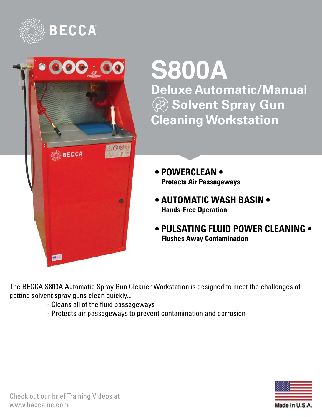



# **S800A Deluxe Automatic/Manual (** $\circledR$ **) Solvent Spray Gun Cleaning Workstation**

- **POWERCLEAN • Protects Air Passageways**
- **AUTOMATIC WASH BASIN • Hands-Free Operation**
- **PULSATING FLUID POWER CLEANING • Flushes Away Contamination**

The BECCA S800A Automatic Spray Gun Cleaner Workstation is designed to meet the challenges of getting solvent spray guns clean quickly...

- Cleans all of the fluid passageways
- Protects air passageways to prevent contamination and corrosion